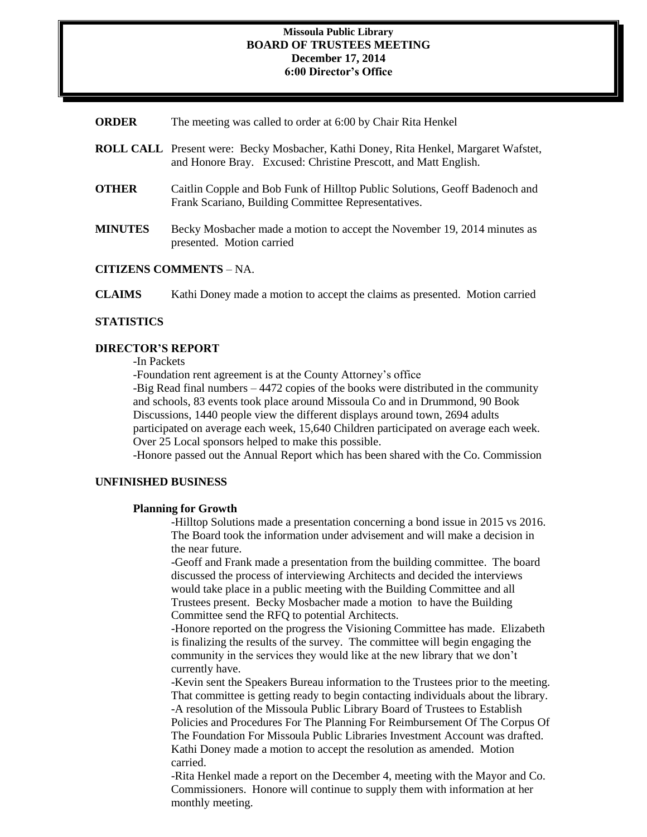#### **Missoula Public Library BOARD OF TRUSTEES MEETING December 17, 2014 6:00 Director's Office**

| <b>ORDER</b> | The meeting was called to order at 6:00 by Chair Rita Henkel |  |  |  |  |
|--------------|--------------------------------------------------------------|--|--|--|--|
|--------------|--------------------------------------------------------------|--|--|--|--|

- **ROLL CALL** Present were: Becky Mosbacher, Kathi Doney, Rita Henkel, Margaret Wafstet, and Honore Bray. Excused: Christine Prescott, and Matt English.
- **OTHER** Caitlin Copple and Bob Funk of Hilltop Public Solutions, Geoff Badenoch and Frank Scariano, Building Committee Representatives.
- **MINUTES** Becky Mosbacher made a motion to accept the November 19, 2014 minutes as presented. Motion carried

#### **CITIZENS COMMENTS** – NA.

**CLAIMS** Kathi Doney made a motion to accept the claims as presented. Motion carried

#### **STATISTICS**

#### **DIRECTOR'S REPORT**

-In Packets

-Foundation rent agreement is at the County Attorney's office

-Big Read final numbers – 4472 copies of the books were distributed in the community and schools, 83 events took place around Missoula Co and in Drummond, 90 Book Discussions, 1440 people view the different displays around town, 2694 adults participated on average each week, 15,640 Children participated on average each week. Over 25 Local sponsors helped to make this possible.

-Honore passed out the Annual Report which has been shared with the Co. Commission

#### **UNFINISHED BUSINESS**

#### **Planning for Growth**

-Hilltop Solutions made a presentation concerning a bond issue in 2015 vs 2016. The Board took the information under advisement and will make a decision in the near future.

-Geoff and Frank made a presentation from the building committee. The board discussed the process of interviewing Architects and decided the interviews would take place in a public meeting with the Building Committee and all Trustees present. Becky Mosbacher made a motion to have the Building Committee send the RFQ to potential Architects.

-Honore reported on the progress the Visioning Committee has made. Elizabeth is finalizing the results of the survey. The committee will begin engaging the community in the services they would like at the new library that we don't currently have.

-Kevin sent the Speakers Bureau information to the Trustees prior to the meeting. That committee is getting ready to begin contacting individuals about the library. -A resolution of the Missoula Public Library Board of Trustees to Establish Policies and Procedures For The Planning For Reimbursement Of The Corpus Of The Foundation For Missoula Public Libraries Investment Account was drafted. Kathi Doney made a motion to accept the resolution as amended. Motion carried.

-Rita Henkel made a report on the December 4, meeting with the Mayor and Co. Commissioners. Honore will continue to supply them with information at her monthly meeting.